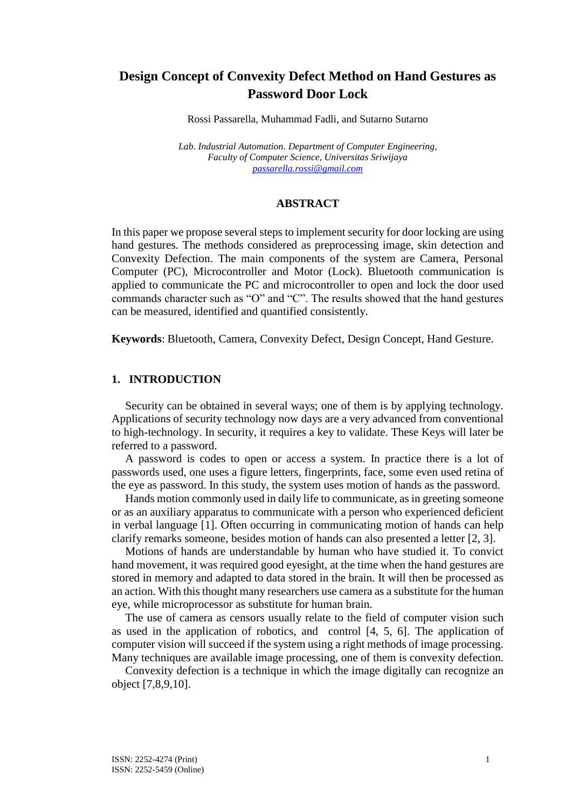# **Design Concept of Convexity Defect Method on Hand Gestures as Password Door Lock**

Rossi Passarella, Muhammad Fadli, and Sutarno Sutarno

*Lab. Industrial Automation. Department of Computer Engineering, Faculty of Computer Science, Universitas Sriwijaya [passarella.rossi@gmail.com](mailto:passarella.rossi@gmail.com)*

### **ABSTRACT**

In this paper we propose several steps to implement security for door locking are using hand gestures. The methods considered as preprocessing image, skin detection and Convexity Defection. The main components of the system are Camera, Personal Computer (PC), Microcontroller and Motor (Lock). Bluetooth communication is applied to communicate the PC and microcontroller to open and lock the door used commands character such as "O" and "C". The results showed that the hand gestures can be measured, identified and quantified consistently.

**Keywords**: Bluetooth, Camera, Convexity Defect, Design Concept, Hand Gesture.

### **1. INTRODUCTION**

Security can be obtained in several ways; one of them is by applying technology. Applications of security technology now days are a very advanced from conventional to high-technology. In security, it requires a key to validate. These Keys will later be referred to a password.

A password is codes to open or access a system. In practice there is a lot of passwords used, one uses a figure letters, fingerprints, face, some even used retina of the eye as password. In this study, the system uses motion of hands as the password.

Hands motion commonly used in daily life to communicate, as in greeting someone or as an auxiliary apparatus to communicate with a person who experienced deficient in verbal language [1]. Often occurring in communicating motion of hands can help clarify remarks someone, besides motion of hands can also presented a letter [2, 3].

Motions of hands are understandable by human who have studied it. To convict hand movement, it was required good eyesight, at the time when the hand gestures are stored in memory and adapted to data stored in the brain. It will then be processed as an action. With this thought many researchers use camera as a substitute for the human eye, while microprocessor as substitute for human brain.

The use of camera as censors usually relate to the field of computer vision such as used in the application of robotics, and control [4, 5, 6]. The application of computer vision will succeed if the system using a right methods of image processing. Many techniques are available image processing, one of them is convexity defection.

Convexity defection is a technique in which the image digitally can recognize an object [7,8,9,10].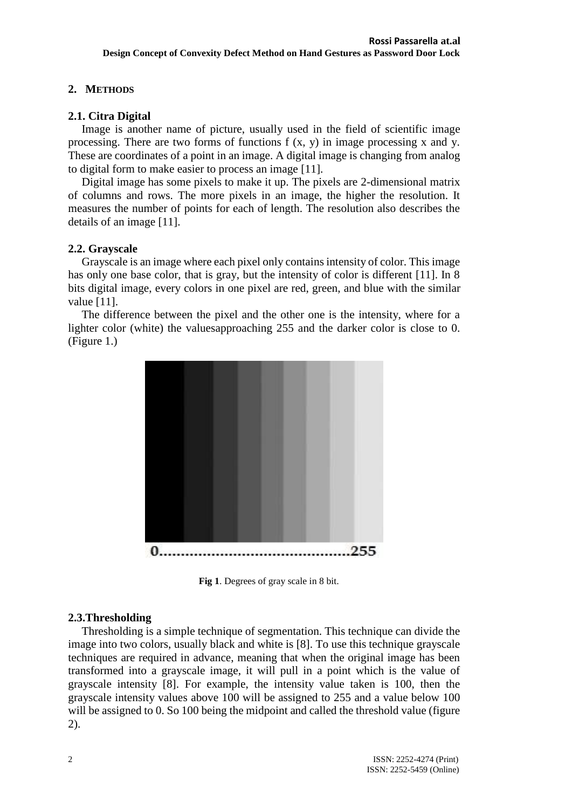## **2. METHODS**

## **2.1. Citra Digital**

Image is another name of picture, usually used in the field of scientific image processing. There are two forms of functions  $f(x, y)$  in image processing x and y. These are coordinates of a point in an image. A digital image is changing from analog to digital form to make easier to process an image [11].

Digital image has some pixels to make it up. The pixels are 2-dimensional matrix of columns and rows. The more pixels in an image, the higher the resolution. It measures the number of points for each of length. The resolution also describes the details of an image [11].

## **2.2. Grayscale**

Grayscale is an image where each pixel only contains intensity of color. This image has only one base color, that is gray, but the intensity of color is different [11]. In 8 bits digital image, every colors in one pixel are red, green, and blue with the similar value [11].

The difference between the pixel and the other one is the intensity, where for a lighter color (white) the valuesapproaching 255 and the darker color is close to 0. (Figure 1.)



**Fig 1**. Degrees of gray scale in 8 bit.

## **2.3.Thresholding**

Thresholding is a simple technique of segmentation. This technique can divide the image into two colors, usually black and white is [8]. To use this technique grayscale techniques are required in advance, meaning that when the original image has been transformed into a grayscale image, it will pull in a point which is the value of grayscale intensity [8]. For example, the intensity value taken is 100, then the grayscale intensity values above 100 will be assigned to 255 and a value below 100 will be assigned to 0. So 100 being the midpoint and called the threshold value (figure 2).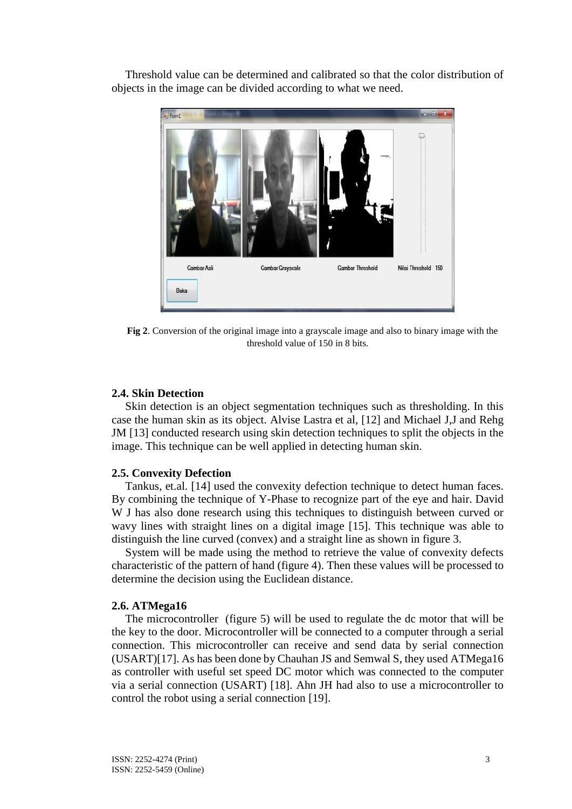Threshold value can be determined and calibrated so that the color distribution of objects in the image can be divided according to what we need.



**Fig 2**. Conversion of the original image into a grayscale image and also to binary image with the threshold value of 150 in 8 bits.

## **2.4. Skin Detection**

Skin detection is an object segmentation techniques such as thresholding. In this case the human skin as its object. Alvise Lastra et al, [12] and Michael J,J and Rehg JM [13] conducted research using skin detection techniques to split the objects in the image. This technique can be well applied in detecting human skin.

### **2.5. Convexity Defection**

Tankus, et.al. [14] used the convexity defection technique to detect human faces. By combining the technique of Y-Phase to recognize part of the eye and hair. David W J has also done research using this techniques to distinguish between curved or wavy lines with straight lines on a digital image [15]. This technique was able to distinguish the line curved (convex) and a straight line as shown in figure 3.

System will be made using the method to retrieve the value of convexity defects characteristic of the pattern of hand (figure 4). Then these values will be processed to determine the decision using the Euclidean distance.

### **2.6. ATMega16**

The microcontroller (figure 5) will be used to regulate the dc motor that will be the key to the door. Microcontroller will be connected to a computer through a serial connection. This microcontroller can receive and send data by serial connection (USART)[17]. As has been done by Chauhan JS and Semwal S, they used ATMega16 as controller with useful set speed DC motor which was connected to the computer via a serial connection (USART) [18]. Ahn JH had also to use a microcontroller to control the robot using a serial connection [19].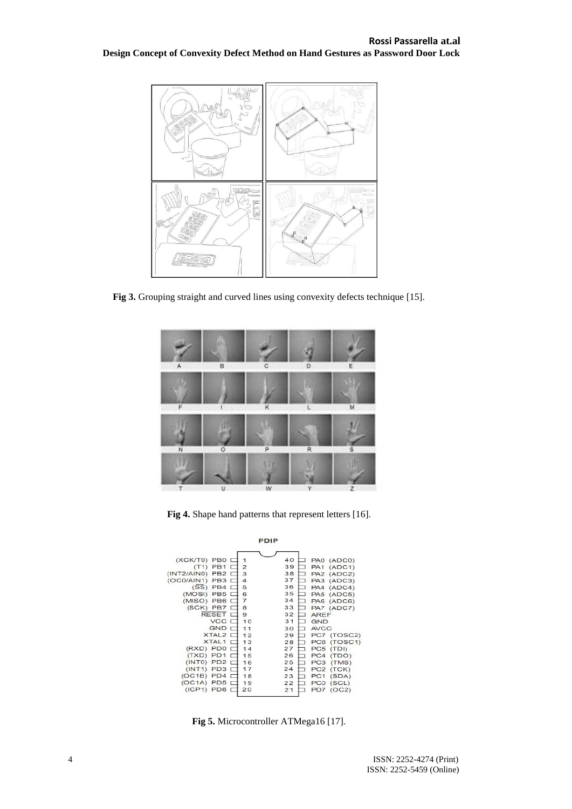

**Fig 3.** Grouping straight and curved lines using convexity defects technique [15].



**Fig 4.** Shape hand patterns that represent letters [16].



**Fig 5.** Microcontroller ATMega16 [17].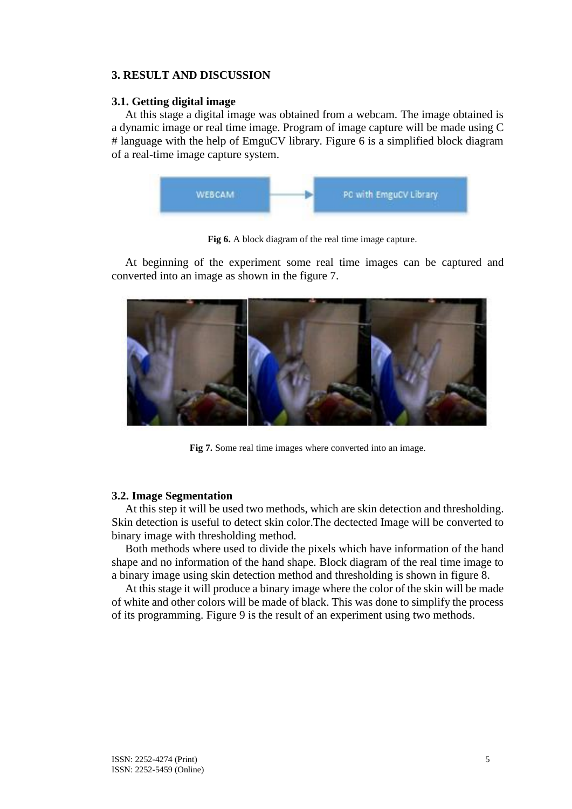## **3. RESULT AND DISCUSSION**

## **3.1. Getting digital image**

At this stage a digital image was obtained from a webcam. The image obtained is a dynamic image or real time image. Program of image capture will be made using C # language with the help of EmguCV library. Figure 6 is a simplified block diagram of a real-time image capture system.



**Fig 6.** A block diagram of the real time image capture.

At beginning of the experiment some real time images can be captured and converted into an image as shown in the figure 7.



**Fig 7.** Some real time images where converted into an image.

## **3.2. Image Segmentation**

At this step it will be used two methods, which are skin detection and thresholding. Skin detection is useful to detect skin color.The dectected Image will be converted to binary image with thresholding method.

Both methods where used to divide the pixels which have information of the hand shape and no information of the hand shape. Block diagram of the real time image to a binary image using skin detection method and thresholding is shown in figure 8.

At this stage it will produce a binary image where the color of the skin will be made of white and other colors will be made of black. This was done to simplify the process of its programming. Figure 9 is the result of an experiment using two methods.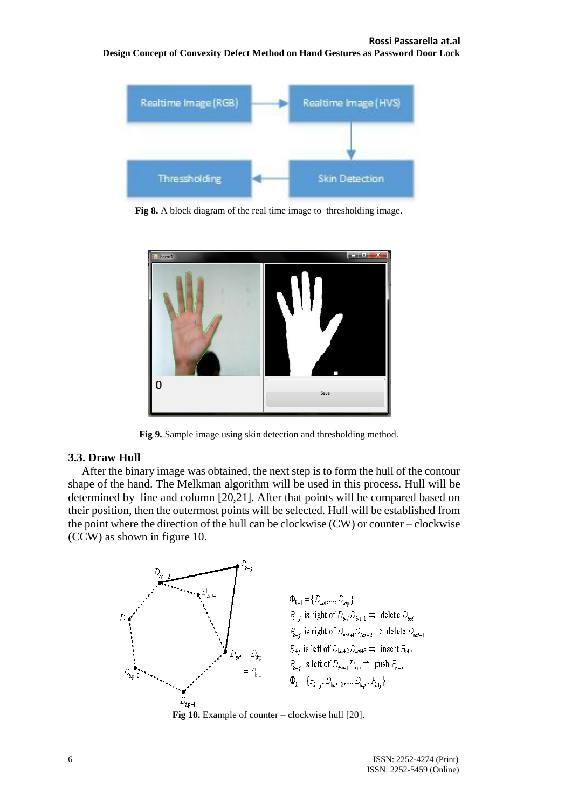#### **Rossi Passarella at.al**

#### **Design Concept of Convexity Defect Method on Hand Gestures as Password Door Lock**



**Fig 8.** A block diagram of the real time image to thresholding image.



**Fig 9.** Sample image using skin detection and thresholding method.

#### **3.3. Draw Hull**

After the binary image was obtained, the next step is to form the hull of the contour shape of the hand. The Melkman algorithm will be used in this process. Hull will be determined by line and column [20,21]. After that points will be compared based on their position, then the outermost points will be selected. Hull will be established from the point where the direction of the hull can be clockwise (CW) or counter – clockwise (CCW) as shown in figure 10.



**Fig 10.** Example of counter – clockwise hull [20].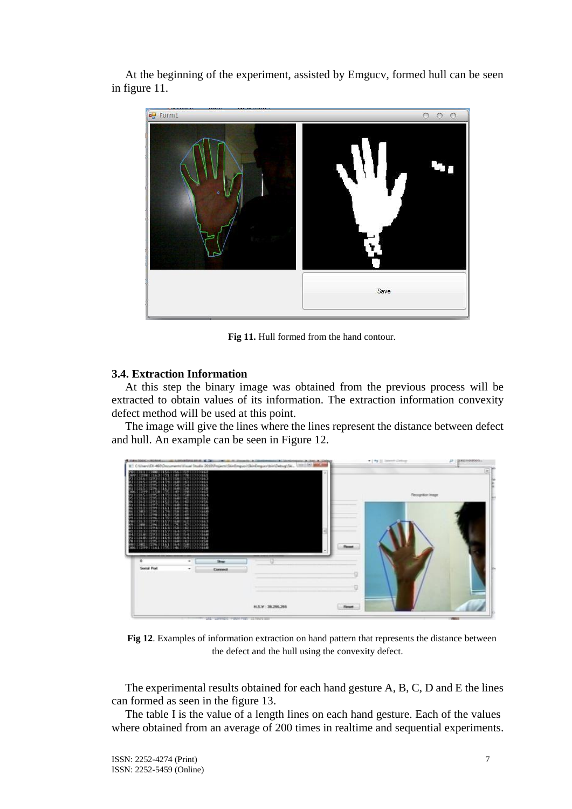At the beginning of the experiment, assisted by Emgucv, formed hull can be seen in figure 11.



**Fig 11.** Hull formed from the hand contour.

## **3.4. Extraction Information**

At this step the binary image was obtained from the previous process will be extracted to obtain values of its information. The extraction information convexity defect method will be used at this point.

The image will give the lines where the lines represent the distance between defect and hull. An example can be seen in Figure 12.



**Fig 12**. Examples of information extraction on hand pattern that represents the distance between the defect and the hull using the convexity defect.

The experimental results obtained for each hand gesture A, B, C, D and E the lines can formed as seen in the figure 13.

The table I is the value of a length lines on each hand gesture. Each of the values where obtained from an average of 200 times in realtime and sequential experiments.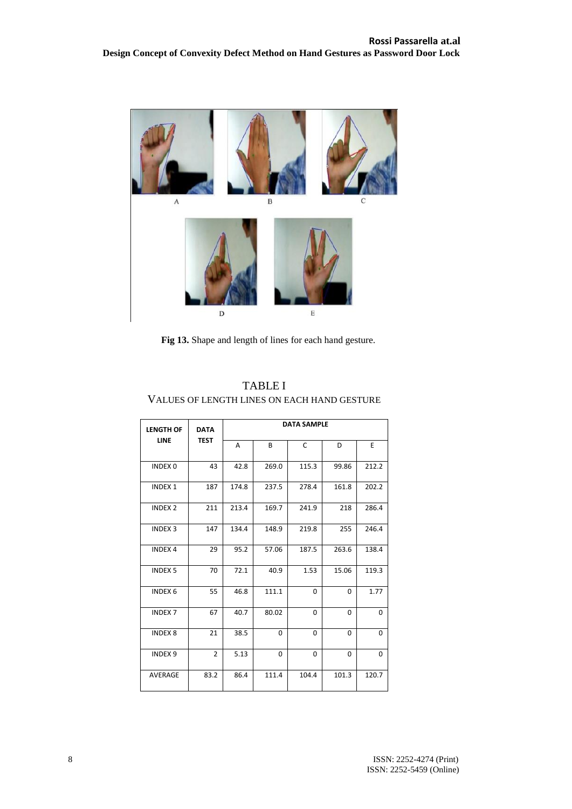

**Fig 13.** Shape and length of lines for each hand gesture.

| <b>LENGTH OF</b><br>LINE | <b>DATA</b><br><b>TEST</b> | <b>DATA SAMPLE</b> |       |       |          |             |
|--------------------------|----------------------------|--------------------|-------|-------|----------|-------------|
|                          |                            | A                  | B     | C     | D        | E           |
| <b>INDEX 0</b>           | 43                         | 42.8               | 269.0 | 115.3 | 99.86    | 212.2       |
| <b>INDEX1</b>            | 187                        | 174.8              | 237.5 | 278.4 | 161.8    | 202.2       |
| <b>INDEX 2</b>           | 211                        | 213.4              | 169.7 | 241.9 | 218      | 286.4       |
| <b>INDEX 3</b>           | 147                        | 134.4              | 148.9 | 219.8 | 255      | 246.4       |
| <b>INDEX 4</b>           | 29                         | 95.2               | 57.06 | 187.5 | 263.6    | 138.4       |
| <b>INDEX 5</b>           | 70                         | 72.1               | 40.9  | 1.53  | 15.06    | 119.3       |
| INDEX 6                  | 55                         | 46.8               | 111.1 | 0     | $\Omega$ | 1.77        |
| <b>INDEX7</b>            | 67                         | 40.7               | 80.02 | 0     | 0        | $\mathbf 0$ |
| <b>INDEX 8</b>           | 21                         | 38.5               | 0     | 0     | $\Omega$ | $\mathbf 0$ |
| <b>INDEX 9</b>           | $\overline{2}$             | 5.13               | 0     | 0     | $\Omega$ | $\Omega$    |
| <b>AVERAGE</b>           | 83.2                       | 86.4               | 111.4 | 104.4 | 101.3    | 120.7       |

TABLE I VALUES OF LENGTH LINES ON EACH HAND GESTURE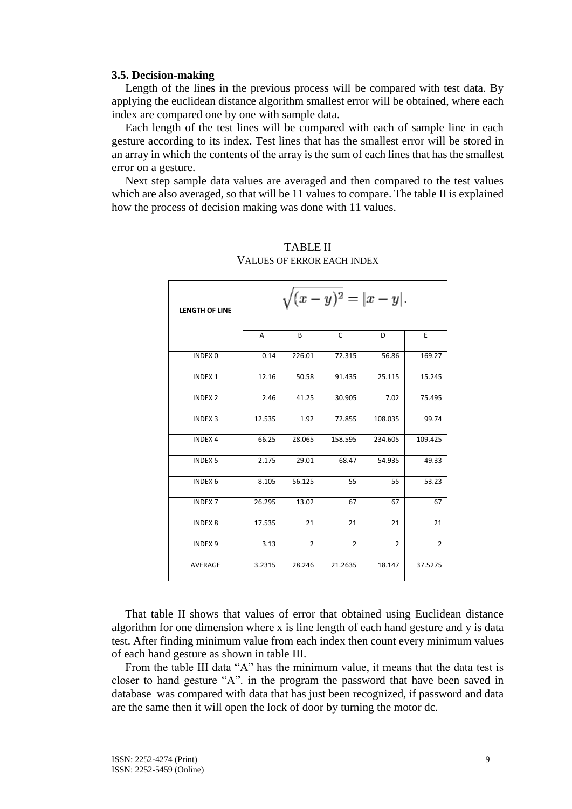#### **3.5. Decision-making**

Length of the lines in the previous process will be compared with test data. By applying the euclidean distance algorithm smallest error will be obtained, where each index are compared one by one with sample data.

Each length of the test lines will be compared with each of sample line in each gesture according to its index. Test lines that has the smallest error will be stored in an array in which the contents of the array is the sum of each lines that has the smallest error on a gesture.

Next step sample data values are averaged and then compared to the test values which are also averaged, so that will be 11 values to compare. The table II is explained how the process of decision making was done with 11 values.

| <b>LENGTH OF LINE</b> | $\sqrt{(x-y)^2} =  x-y .$ |                |                |                |                |  |  |  |
|-----------------------|---------------------------|----------------|----------------|----------------|----------------|--|--|--|
|                       | A                         | B              | $\mathsf{C}$   | D              | E              |  |  |  |
| INDEX 0               | 0.14                      | 226.01         | 72.315         | 56.86          | 169.27         |  |  |  |
| <b>INDEX 1</b>        | 12.16                     | 50.58          | 91.435         | 25.115         | 15.245         |  |  |  |
| <b>INDEX 2</b>        | 2.46                      | 41.25          | 30.905         | 7.02           | 75.495         |  |  |  |
| <b>INDEX 3</b>        | 12.535                    | 1.92           | 72.855         | 108.035        | 99.74          |  |  |  |
| <b>INDEX 4</b>        | 66.25                     | 28.065         | 158.595        | 234.605        | 109.425        |  |  |  |
| <b>INDEX 5</b>        | 2.175                     | 29.01          | 68.47          | 54.935         | 49.33          |  |  |  |
| INDEX 6               | 8.105                     | 56.125         | 55             | 55             | 53.23          |  |  |  |
| <b>INDEX 7</b>        | 26.295                    | 13.02          | 67             | 67             | 67             |  |  |  |
| <b>INDEX 8</b>        | 17.535                    | 21             | 21             | 21             | 21             |  |  |  |
| <b>INDEX 9</b>        | 3.13                      | $\overline{2}$ | $\overline{2}$ | $\overline{2}$ | $\overline{2}$ |  |  |  |
| <b>AVERAGE</b>        | 3.2315                    | 28.246         | 21.2635        | 18.147         | 37.5275        |  |  |  |

## TABLE II VALUES OF ERROR EACH INDEX

That table II shows that values of error that obtained using Euclidean distance algorithm for one dimension where x is line length of each hand gesture and y is data test. After finding minimum value from each index then count every minimum values of each hand gesture as shown in table III.

From the table III data "A" has the minimum value, it means that the data test is closer to hand gesture "A". in the program the password that have been saved in database was compared with data that has just been recognized, if password and data are the same then it will open the lock of door by turning the motor dc.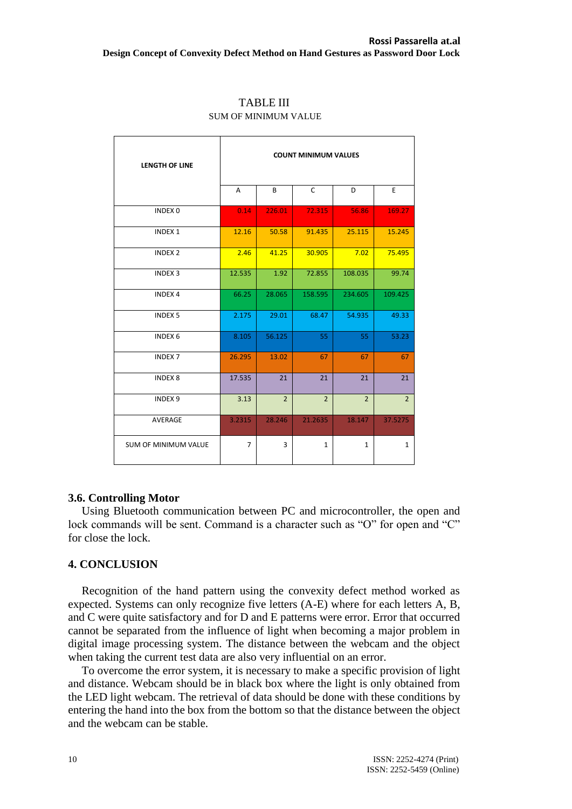| <b>LENGTH OF LINE</b>       | <b>COUNT MINIMUM VALUES</b> |                |                |                |                |  |
|-----------------------------|-----------------------------|----------------|----------------|----------------|----------------|--|
|                             | A                           | B              | $\mathsf{C}$   | D              | E              |  |
| <b>INDEX 0</b>              | 0.14                        | 226.01         | 72.315         | 56.86          | 169.27         |  |
| <b>INDEX 1</b>              | 12.16                       | 50.58          | 91.435         | 25.115         | 15.245         |  |
| <b>INDEX 2</b>              | 2.46                        | 41.25          | 30.905         | 7.02           | 75.495         |  |
| <b>INDEX 3</b>              | 12.535                      | 1.92           | 72.855         | 108.035        | 99.74          |  |
| <b>INDEX 4</b>              | 66.25                       | 28.065         | 158.595        | 234.605        | 109.425        |  |
| <b>INDEX 5</b>              | 2.175                       | 29.01          | 68.47          | 54.935         | 49.33          |  |
| <b>INDEX 6</b>              | 8.105                       | 56.125         | 55             | 55             | 53.23          |  |
| <b>INDEX 7</b>              | 26.295                      | 13.02          | 67             | 67             | 67             |  |
| <b>INDEX 8</b>              | 17.535                      | 21             | 21             | 21             | 21             |  |
| INDEX <sub>9</sub>          | 3.13                        | $\overline{2}$ | $\overline{2}$ | $\overline{2}$ | $\overline{2}$ |  |
| AVERAGE                     | 3.2315                      | 28.246         | 21.2635        | 18.147         | 37.5275        |  |
| <b>SUM OF MINIMUM VALUE</b> | $\overline{7}$              | 3              | $\mathbf{1}$   | $\mathbf{1}$   | $\mathbf{1}$   |  |

### TABLE III SUM OF MINIMUM VALUE

## **3.6. Controlling Motor**

Using Bluetooth communication between PC and microcontroller, the open and lock commands will be sent. Command is a character such as "O" for open and "C" for close the lock.

## **4. CONCLUSION**

Recognition of the hand pattern using the convexity defect method worked as expected. Systems can only recognize five letters (A-E) where for each letters A, B, and C were quite satisfactory and for D and E patterns were error. Error that occurred cannot be separated from the influence of light when becoming a major problem in digital image processing system. The distance between the webcam and the object when taking the current test data are also very influential on an error.

To overcome the error system, it is necessary to make a specific provision of light and distance. Webcam should be in black box where the light is only obtained from the LED light webcam. The retrieval of data should be done with these conditions by entering the hand into the box from the bottom so that the distance between the object and the webcam can be stable.